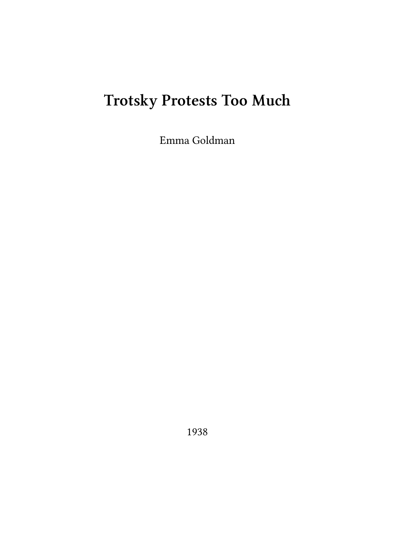# **Trotsky Protests Too Much**

Emma Goldman

1938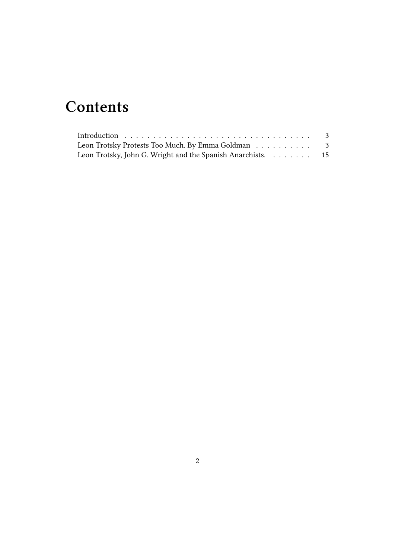## **Contents**

| Leon Trotsky Protests Too Much. By Emma Goldman 3           |  |
|-------------------------------------------------------------|--|
| Leon Trotsky, John G. Wright and the Spanish Anarchists. 15 |  |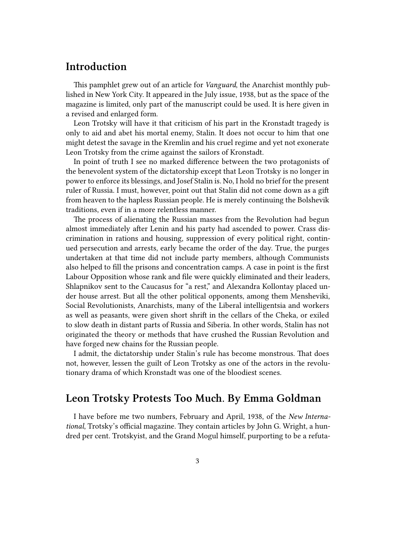#### **Introduction**

This pamphlet grew out of an article for *Vanguard*, the Anarchist monthly published in New York City. It appeared in the July issue, 1938, but as the space of the magazine is limited, only part of the manuscript could be used. It is here given in a revised and enlarged form.

Leon Trotsky will have it that criticism of his part in the Kronstadt tragedy is only to aid and abet his mortal enemy, Stalin. It does not occur to him that one might detest the savage in the Kremlin and his cruel regime and yet not exonerate Leon Trotsky from the crime against the sailors of Kronstadt.

In point of truth I see no marked difference between the two protagonists of the benevolent system of the dictatorship except that Leon Trotsky is no longer in power to enforce its blessings, and Josef Stalin is. No, I hold no brief for the present ruler of Russia. I must, however, point out that Stalin did not come down as a gift from heaven to the hapless Russian people. He is merely continuing the Bolshevik traditions, even if in a more relentless manner.

The process of alienating the Russian masses from the Revolution had begun almost immediately after Lenin and his party had ascended to power. Crass discrimination in rations and housing, suppression of every political right, continued persecution and arrests, early became the order of the day. True, the purges undertaken at that time did not include party members, although Communists also helped to fill the prisons and concentration camps. A case in point is the first Labour Opposition whose rank and file were quickly eliminated and their leaders, Shlapnikov sent to the Caucasus for "a rest," and Alexandra Kollontay placed under house arrest. But all the other political opponents, among them Mensheviki, Social Revolutionists, Anarchists, many of the Liberal intelligentsia and workers as well as peasants, were given short shrift in the cellars of the Cheka, or exiled to slow death in distant parts of Russia and Siberia. In other words, Stalin has not originated the theory or methods that have crushed the Russian Revolution and have forged new chains for the Russian people.

I admit, the dictatorship under Stalin's rule has become monstrous. That does not, however, lessen the guilt of Leon Trotsky as one of the actors in the revolutionary drama of which Kronstadt was one of the bloodiest scenes.

#### **Leon Trotsky Protests Too Much. By Emma Goldman**

I have before me two numbers, February and April, 1938, of the *New International*, Trotsky's official magazine. They contain articles by John G. Wright, a hundred per cent. Trotskyist, and the Grand Mogul himself, purporting to be a refuta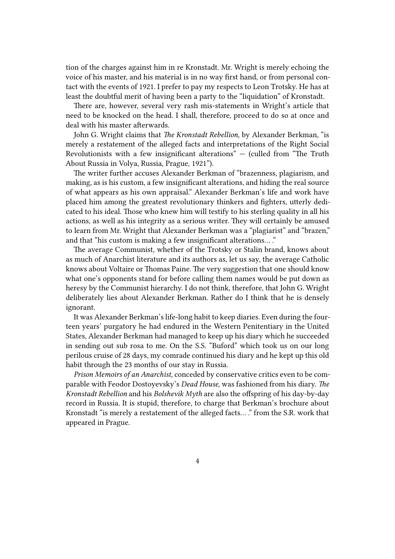tion of the charges against him in re Kronstadt. Mr. Wright is merely echoing the voice of his master, and his material is in no way first hand, or from personal contact with the events of 1921. I prefer to pay my respects to Leon Trotsky. He has at least the doubtful merit of having been a party to the "liquidation" of Kronstadt.

There are, however, several very rash mis-statements in Wright's article that need to be knocked on the head. I shall, therefore, proceed to do so at once and deal with his master afterwards.

John G. Wright claims that *The Kronstadt Rebellion*, by Alexander Berkman, "is merely a restatement of the alleged facts and interpretations of the Right Social Revolutionists with a few insignificant alterations" — (culled from "The Truth About Russia in Volya, Russia, Prague, 1921").

The writer further accuses Alexander Berkman of "brazenness, plagiarism, and making, as is his custom, a few insignificant alterations, and hiding the real source of what appears as his own appraisal." Alexander Berkman's life and work have placed him among the greatest revolutionary thinkers and fighters, utterly dedicated to his ideal. Those who knew him will testify to his sterling quality in all his actions, as well as his integrity as a serious writer. They will certainly be amused to learn from Mr. Wright that Alexander Berkman was a "plagiarist" and "brazen," and that "his custom is making a few insignificant alterations… ."

The average Communist, whether of the Trotsky or Stalin brand, knows about as much of Anarchist literature and its authors as, let us say, the average Catholic knows about Voltaire or Thomas Paine. The very suggestion that one should know what one's opponents stand for before calling them names would be put down as heresy by the Communist hierarchy. I do not think, therefore, that John G. Wright deliberately lies about Alexander Berkman. Rather do I think that he is densely ignorant.

It was Alexander Berkman's life-long habit to keep diaries. Even during the fourteen years' purgatory he had endured in the Western Penitentiary in the United States, Alexander Berkman had managed to keep up his diary which he succeeded in sending out sub rosa to me. On the S.S. "Buford" which took us on our long perilous cruise of 28 days, my comrade continued his diary and he kept up this old habit through the 23 months of our stay in Russia.

*Prison Memoirs of an Anarchist*, conceded by conservative critics even to be comparable with Feodor Dostoyevsky's *Dead House*, was fashioned from his diary. *The Kronstadt Rebellion* and his *Bolshevik Myth* are also the offspring of his day-by-day record in Russia. It is stupid, therefore, to charge that Berkman's brochure about Kronstadt "is merely a restatement of the alleged facts… ." from the S.R. work that appeared in Prague.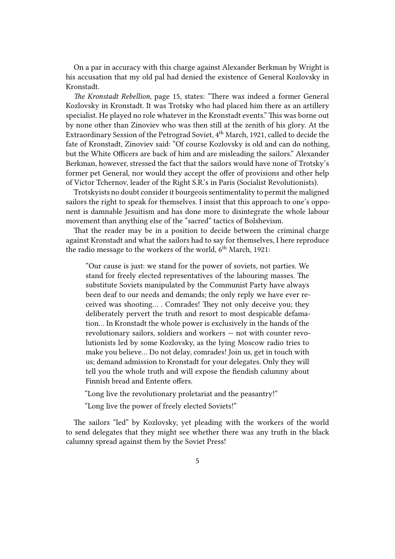On a par in accuracy with this charge against Alexander Berkman by Wright is his accusation that my old pal had denied the existence of General Kozlovsky in Kronstadt.

*The Kronstadt Rebellion*, page 15, states: "There was indeed a former General Kozlovsky in Kronstadt. It was Trotsky who had placed him there as an artillery specialist. He played no role whatever in the Kronstadt events." This was borne out by none other than Zinoviev who was then still at the zenith of his glory. At the Extraordinary Session of the Petrograd Soviet,  $4<sup>th</sup> March$ , 1921, called to decide the fate of Kronstadt, Zinoviev said: "Of course Kozlovsky is old and can do nothing, but the White Officers are back of him and are misleading the sailors." Alexander Berkman, however, stressed the fact that the sailors would have none of Trotsky's former pet General, nor would they accept the offer of provisions and other help of Victor Tchernov, leader of the Right S.R.'s in Paris (Socialist Revolutionists).

Trotskyists no doubt consider it bourgeois sentimentality to permit the maligned sailors the right to speak for themselves. I insist that this approach to one's opponent is damnable Jesuitism and has done more to disintegrate the whole labour movement than anything else of the "sacred" tactics of Bolshevism.

That the reader may be in a position to decide between the criminal charge against Kronstadt and what the sailors had to say for themselves, I here reproduce the radio message to the workers of the world,  $6<sup>th</sup>$  March, 1921:

"Our cause is just: we stand for the power of soviets, not parties. We stand for freely elected representatives of the labouring masses. The substitute Soviets manipulated by the Communist Party have always been deaf to our needs and demands; the only reply we have ever received was shooting… . Comrades! They not only deceive you; they deliberately pervert the truth and resort to most despicable defamation… In Kronstadt the whole power is exclusively in the hands of the revolutionary sailors, soldiers and workers — not with counter revolutionists led by some Kozlovsky, as the lying Moscow radio tries to make you believe… Do not delay, comrades! Join us, get in touch with us; demand admission to Kronstadt for your delegates. Only they will tell you the whole truth and will expose the fiendish calumny about Finnish bread and Entente offers.

"Long live the revolutionary proletariat and the peasantry!"

"Long live the power of freely elected Soviets!"

The sailors "led" by Kozlovsky, yet pleading with the workers of the world to send delegates that they might see whether there was any truth in the black calumny spread against them by the Soviet Press!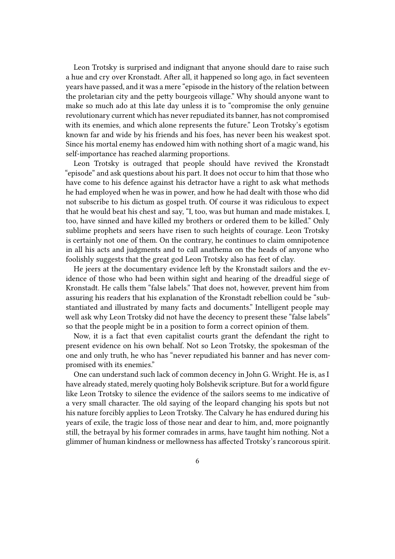Leon Trotsky is surprised and indignant that anyone should dare to raise such a hue and cry over Kronstadt. After all, it happened so long ago, in fact seventeen years have passed, and it was a mere "episode in the history of the relation between the proletarian city and the petty bourgeois village." Why should anyone want to make so much ado at this late day unless it is to "compromise the only genuine revolutionary current which has never repudiated its banner, has not compromised with its enemies, and which alone represents the future." Leon Trotsky's egotism known far and wide by his friends and his foes, has never been his weakest spot. Since his mortal enemy has endowed him with nothing short of a magic wand, his self-importance has reached alarming proportions.

Leon Trotsky is outraged that people should have revived the Kronstadt "episode" and ask questions about his part. It does not occur to him that those who have come to his defence against his detractor have a right to ask what methods he had employed when he was in power, and how he had dealt with those who did not subscribe to his dictum as gospel truth. Of course it was ridiculous to expect that he would beat his chest and say, "I, too, was but human and made mistakes. I, too, have sinned and have killed my brothers or ordered them to be killed." Only sublime prophets and seers have risen to such heights of courage. Leon Trotsky is certainly not one of them. On the contrary, he continues to claim omnipotence in all his acts and judgments and to call anathema on the heads of anyone who foolishly suggests that the great god Leon Trotsky also has feet of clay.

He jeers at the documentary evidence left by the Kronstadt sailors and the evidence of those who had been within sight and hearing of the dreadful siege of Kronstadt. He calls them "false labels." That does not, however, prevent him from assuring his readers that his explanation of the Kronstadt rebellion could be "substantiated and illustrated by many facts and documents." Intelligent people may well ask why Leon Trotsky did not have the decency to present these "false labels" so that the people might be in a position to form a correct opinion of them.

Now, it is a fact that even capitalist courts grant the defendant the right to present evidence on his own behalf. Not so Leon Trotsky, the spokesman of the one and only truth, he who has "never repudiated his banner and has never compromised with its enemies."

One can understand such lack of common decency in John G. Wright. He is, as I have already stated, merely quoting holy Bolshevik scripture. But for a world figure like Leon Trotsky to silence the evidence of the sailors seems to me indicative of a very small character. The old saying of the leopard changing his spots but not his nature forcibly applies to Leon Trotsky. The Calvary he has endured during his years of exile, the tragic loss of those near and dear to him, and, more poignantly still, the betrayal by his former comrades in arms, have taught him nothing. Not a glimmer of human kindness or mellowness has affected Trotsky's rancorous spirit.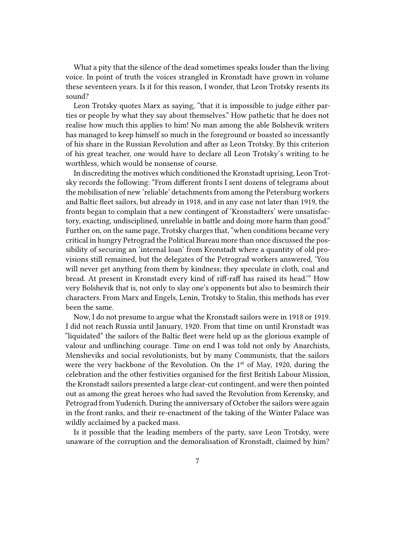What a pity that the silence of the dead sometimes speaks louder than the living voice. In point of truth the voices strangled in Kronstadt have grown in volume these seventeen years. Is it for this reason, I wonder, that Leon Trotsky resents its sound?

Leon Trotsky quotes Marx as saying, "that it is impossible to judge either parties or people by what they say about themselves." How pathetic that he does not realise how much this applies to him! No man among the able Bolshevik writers has managed to keep himself so much in the foreground or boasted so incessantly of his share in the Russian Revolution and after as Leon Trotsky. By this criterion of his great teacher, one would have to declare all Leon Trotsky's writing to be worthless, which would be nonsense of course.

In discrediting the motives which conditioned the Kronstadt uprising, Leon Trotsky records the following: "From different fronts I sent dozens of telegrams about the mobilisation of new 'reliable' detachments from among the Petersburg workers and Baltic fleet sailors, but already in 1918, and in any case not later than 1919, the fronts began to complain that a new contingent of 'Kronstadters' were unsatisfactory, exacting, undisciplined, unreliable in battle and doing more harm than good." Further on, on the same page, Trotsky charges that, "when conditions became very critical in hungry Petrograd the Political Bureau more than once discussed the possibility of securing an 'internal loan' from Kronstadt where a quantity of old provisions still remained, but the delegates of the Petrograd workers answered, 'You will never get anything from them by kindness; they speculate in cloth, coal and bread. At present in Kronstadt every kind of riff-raff has raised its head.'" How very Bolshevik that is, not only to slay one's opponents but also to besmirch their characters. From Marx and Engels, Lenin, Trotsky to Stalin, this methods has ever been the same.

Now, I do not presume to argue what the Kronstadt sailors were in 1918 or 1919. I did not reach Russia until January, 1920. From that time on until Kronstadt was "liquidated" the sailors of the Baltic fleet were held up as the glorious example of valour and unflinching courage. Time on end I was told not only by Anarchists, Mensheviks and social revolutionists, but by many Communists, that the sailors were the very backbone of the Revolution. On the 1<sup>st</sup> of May, 1920, during the celebration and the other festivities organised for the first British Labour Mission, the Kronstadt sailors presented a large clear-cut contingent, and were then pointed out as among the great heroes who had saved the Revolution from Kerensky, and Petrograd from Yudenich. During the anniversary of October the sailors were again in the front ranks, and their re-enactment of the taking of the Winter Palace was wildly acclaimed by a packed mass.

Is it possible that the leading members of the party, save Leon Trotsky, were unaware of the corruption and the demoralisation of Kronstadt, claimed by him?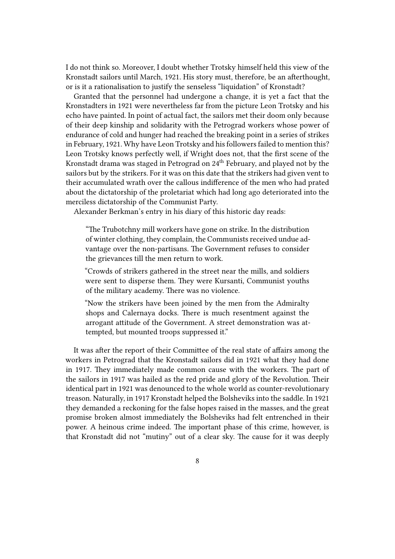I do not think so. Moreover, I doubt whether Trotsky himself held this view of the Kronstadt sailors until March, 1921. His story must, therefore, be an afterthought, or is it a rationalisation to justify the senseless "liquidation" of Kronstadt?

Granted that the personnel had undergone a change, it is yet a fact that the Kronstadters in 1921 were nevertheless far from the picture Leon Trotsky and his echo have painted. In point of actual fact, the sailors met their doom only because of their deep kinship and solidarity with the Petrograd workers whose power of endurance of cold and hunger had reached the breaking point in a series of strikes in February, 1921. Why have Leon Trotsky and his followers failed to mention this? Leon Trotsky knows perfectly well, if Wright does not, that the first scene of the Kronstadt drama was staged in Petrograd on  $24<sup>th</sup>$  February, and played not by the sailors but by the strikers. For it was on this date that the strikers had given vent to their accumulated wrath over the callous indifference of the men who had prated about the dictatorship of the proletariat which had long ago deteriorated into the merciless dictatorship of the Communist Party.

Alexander Berkman's entry in his diary of this historic day reads:

"The Trubotchny mill workers have gone on strike. In the distribution of winter clothing, they complain, the Communists received undue advantage over the non-partisans. The Government refuses to consider the grievances till the men return to work.

"Crowds of strikers gathered in the street near the mills, and soldiers were sent to disperse them. They were Kursanti, Communist youths of the military academy. There was no violence.

"Now the strikers have been joined by the men from the Admiralty shops and Calernaya docks. There is much resentment against the arrogant attitude of the Government. A street demonstration was attempted, but mounted troops suppressed it."

It was after the report of their Committee of the real state of affairs among the workers in Petrograd that the Kronstadt sailors did in 1921 what they had done in 1917. They immediately made common cause with the workers. The part of the sailors in 1917 was hailed as the red pride and glory of the Revolution. Their identical part in 1921 was denounced to the whole world as counter-revolutionary treason. Naturally, in 1917 Kronstadt helped the Bolsheviks into the saddle. In 1921 they demanded a reckoning for the false hopes raised in the masses, and the great promise broken almost immediately the Bolsheviks had felt entrenched in their power. A heinous crime indeed. The important phase of this crime, however, is that Kronstadt did not "mutiny" out of a clear sky. The cause for it was deeply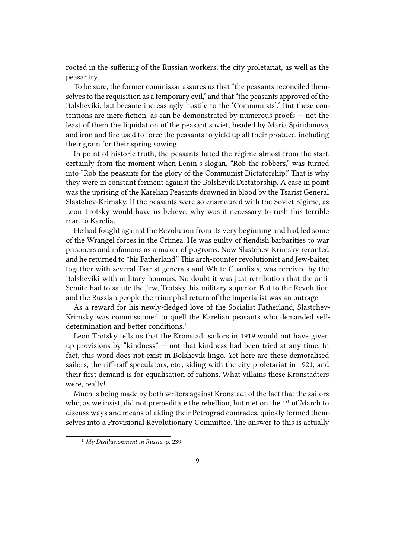rooted in the suffering of the Russian workers; the city proletariat, as well as the peasantry.

To be sure, the former commissar assures us that "the peasants reconciled themselves to the requisition as a temporary evil," and that "the peasants approved of the Bolsheviki, but became increasingly hostile to the 'Communists'." But these contentions are mere fiction, as can be demonstrated by numerous proofs — not the least of them the liquidation of the peasant soviet, headed by Maria Spiridonova, and iron and fire used to force the peasants to yield up all their produce, including their grain for their spring sowing.

In point of historic truth, the peasants hated the régime almost from the start, certainly from the moment when Lenin's slogan, "Rob the robbers," was turned into "Rob the peasants for the glory of the Communist Dictatorship." That is why they were in constant ferment against the Bolshevik Dictatorship. A case in point was the uprising of the Karelian Peasants drowned in blood by the Tsarist General Slastchev-Krimsky. If the peasants were so enamoured with the Soviet régime, as Leon Trotsky would have us believe, why was it necessary to rush this terrible man to Karelia.

He had fought against the Revolution from its very beginning and had led some of the Wrangel forces in the Crimea. He was guilty of fiendish barbarities to war prisoners and infamous as a maker of pogroms. Now Slastchev-Krimsky recanted and he returned to "his Fatherland." This arch-counter revolutionist and Jew-baiter, together with several Tsarist generals and White Guardists, was received by the Bolsheviki with military honours. No doubt it was just retribution that the anti-Semite had to salute the Jew, Trotsky, his military superior. But to the Revolution and the Russian people the triumphal return of the imperialist was an outrage.

As a reward for his newly-fledged love of the Socialist Fatherland, Slastchev-Krimsky was commissioned to quell the Karelian peasants who demanded selfdetermination and better conditions.<sup>1</sup>

Leon Trotsky tells us that the Kronstadt sailors in 1919 would not have given up provisions by "kindness" — not that kindness had been tried at any time. In fact, this word does not exist in Bolshevik lingo. Yet here are these demoralised sailors, the riff-raff speculators, etc., siding with the city proletariat in 1921, and their first demand is for equalisation of rations. What villains these Kronstadters were, really!

Much is being made by both writers against Kronstadt of the fact that the sailors who, as we insist, did not premeditate the rebellion, but met on the 1<sup>st</sup> of March to discuss ways and means of aiding their Petrograd comrades, quickly formed themselves into a Provisional Revolutionary Committee. The answer to this is actually

<sup>1</sup> *My Disillusionment in Russia*, p. 239.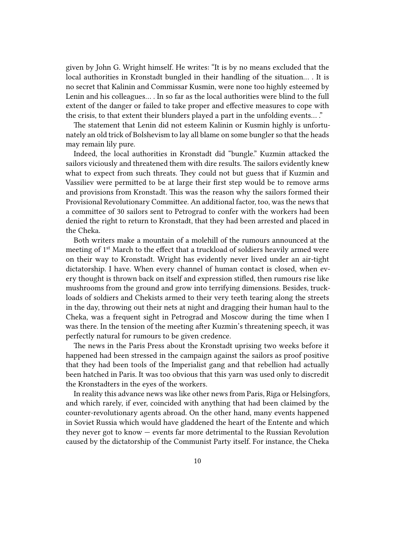given by John G. Wright himself. He writes: "It is by no means excluded that the local authorities in Kronstadt bungled in their handling of the situation… . It is no secret that Kalinin and Commissar Kusmin, were none too highly esteemed by Lenin and his colleagues… . In so far as the local authorities were blind to the full extent of the danger or failed to take proper and effective measures to cope with the crisis, to that extent their blunders played a part in the unfolding events… ."

The statement that Lenin did not esteem Kalinin or Kusmin highly is unfortunately an old trick of Bolshevism to lay all blame on some bungler so that the heads may remain lily pure.

Indeed, the local authorities in Kronstadt did "bungle." Kuzmin attacked the sailors viciously and threatened them with dire results. The sailors evidently knew what to expect from such threats. They could not but guess that if Kuzmin and Vassiliev were permitted to be at large their first step would be to remove arms and provisions from Kronstadt. This was the reason why the sailors formed their Provisional Revolutionary Committee. An additional factor, too, was the news that a committee of 30 sailors sent to Petrograd to confer with the workers had been denied the right to return to Kronstadt, that they had been arrested and placed in the Cheka.

Both writers make a mountain of a molehill of the rumours announced at the meeting of 1<sup>st</sup> March to the effect that a truckload of soldiers heavily armed were on their way to Kronstadt. Wright has evidently never lived under an air-tight dictatorship. I have. When every channel of human contact is closed, when every thought is thrown back on itself and expression stifled, then rumours rise like mushrooms from the ground and grow into terrifying dimensions. Besides, truckloads of soldiers and Chekists armed to their very teeth tearing along the streets in the day, throwing out their nets at night and dragging their human haul to the Cheka, was a frequent sight in Petrograd and Moscow during the time when I was there. In the tension of the meeting after Kuzmin's threatening speech, it was perfectly natural for rumours to be given credence.

The news in the Paris Press about the Kronstadt uprising two weeks before it happened had been stressed in the campaign against the sailors as proof positive that they had been tools of the Imperialist gang and that rebellion had actually been hatched in Paris. It was too obvious that this yarn was used only to discredit the Kronstadters in the eyes of the workers.

In reality this advance news was like other news from Paris, Riga or Helsingfors, and which rarely, if ever, coincided with anything that had been claimed by the counter-revolutionary agents abroad. On the other hand, many events happened in Soviet Russia which would have gladdened the heart of the Entente and which they never got to know — events far more detrimental to the Russian Revolution caused by the dictatorship of the Communist Party itself. For instance, the Cheka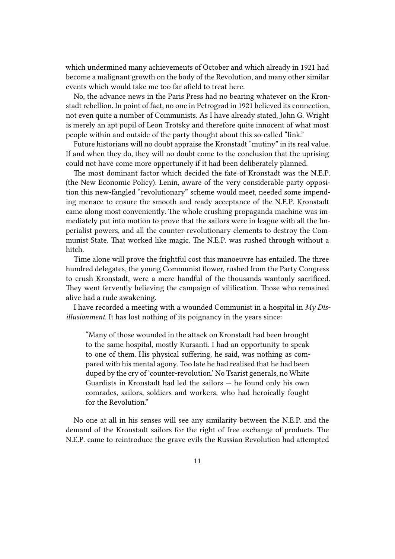which undermined many achievements of October and which already in 1921 had become a malignant growth on the body of the Revolution, and many other similar events which would take me too far afield to treat here.

No, the advance news in the Paris Press had no bearing whatever on the Kronstadt rebellion. In point of fact, no one in Petrograd in 1921 believed its connection, not even quite a number of Communists. As I have already stated, John G. Wright is merely an apt pupil of Leon Trotsky and therefore quite innocent of what most people within and outside of the party thought about this so-called "link."

Future historians will no doubt appraise the Kronstadt "mutiny" in its real value. If and when they do, they will no doubt come to the conclusion that the uprising could not have come more opportunely if it had been deliberately planned.

The most dominant factor which decided the fate of Kronstadt was the N.E.P. (the New Economic Policy). Lenin, aware of the very considerable party opposition this new-fangled "revolutionary" scheme would meet, needed some impending menace to ensure the smooth and ready acceptance of the N.E.P. Kronstadt came along most conveniently. The whole crushing propaganda machine was immediately put into motion to prove that the sailors were in league with all the Imperialist powers, and all the counter-revolutionary elements to destroy the Communist State. That worked like magic. The N.E.P. was rushed through without a hitch.

Time alone will prove the frightful cost this manoeuvre has entailed. The three hundred delegates, the young Communist flower, rushed from the Party Congress to crush Kronstadt, were a mere handful of the thousands wantonly sacrificed. They went fervently believing the campaign of vilification. Those who remained alive had a rude awakening.

I have recorded a meeting with a wounded Communist in a hospital in *My Disillusionment*. It has lost nothing of its poignancy in the years since:

"Many of those wounded in the attack on Kronstadt had been brought to the same hospital, mostly Kursanti. I had an opportunity to speak to one of them. His physical suffering, he said, was nothing as compared with his mental agony. Too late he had realised that he had been duped by the cry of 'counter-revolution.' No Tsarist generals, no White Guardists in Kronstadt had led the sailors — he found only his own comrades, sailors, soldiers and workers, who had heroically fought for the Revolution."

No one at all in his senses will see any similarity between the N.E.P. and the demand of the Kronstadt sailors for the right of free exchange of products. The N.E.P. came to reintroduce the grave evils the Russian Revolution had attempted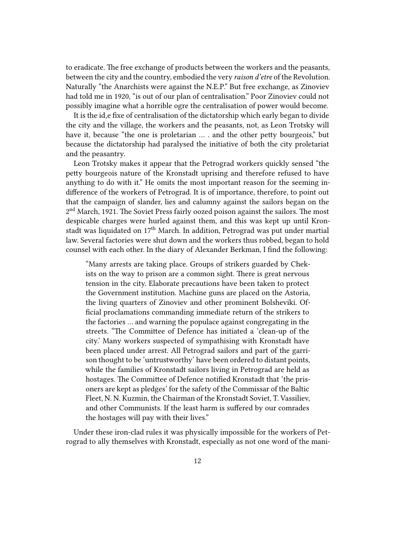to eradicate. The free exchange of products between the workers and the peasants, between the city and the country, embodied the very *raison d'etre* of the Revolution. Naturally "the Anarchists were against the N.E.P." But free exchange, as Zinoviev had told me in 1920, "is out of our plan of centralisation." Poor Zinoviev could not possibly imagine what a horrible ogre the centralisation of power would become.

It is the id,e fixe of centralisation of the dictatorship which early began to divide the city and the village, the workers and the peasants, not, as Leon Trotsky will have it, because "the one is proletarian ... . and the other petty bourgeois," but because the dictatorship had paralysed the initiative of both the city proletariat and the peasantry.

Leon Trotsky makes it appear that the Petrograd workers quickly sensed "the petty bourgeois nature of the Kronstadt uprising and therefore refused to have anything to do with it." He omits the most important reason for the seeming indifference of the workers of Petrograd. It is of importance, therefore, to point out that the campaign of slander, lies and calumny against the sailors began on the 2<sup>nd</sup> March, 1921. The Soviet Press fairly oozed poison against the sailors. The most despicable charges were hurled against them, and this was kept up until Kronstadt was liquidated on 17<sup>th</sup> March. In addition, Petrograd was put under martial law. Several factories were shut down and the workers thus robbed, began to hold counsel with each other. In the diary of Alexander Berkman, I find the following:

"Many arrests are taking place. Groups of strikers guarded by Chekists on the way to prison are a common sight. There is great nervous tension in the city. Elaborate precautions have been taken to protect the Government institution. Machine guns are placed on the Astoria, the living quarters of Zinoviev and other prominent Bolsheviki. Official proclamations commanding immediate return of the strikers to the factories … and warning the populace against congregating in the streets. "The Committee of Defence has initiated a 'clean-up of the city.' Many workers suspected of sympathising with Kronstadt have been placed under arrest. All Petrograd sailors and part of the garrison thought to be 'untrustworthy' have been ordered to distant points, while the families of Kronstadt sailors living in Petrograd are held as hostages. The Committee of Defence notified Kronstadt that 'the prisoners are kept as pledges' for the safety of the Commissar of the Baltic Fleet, N. N. Kuzmin, the Chairman of the Kronstadt Soviet, T. Vassiliev, and other Communists. If the least harm is suffered by our comrades the hostages will pay with their lives."

Under these iron-clad rules it was physically impossible for the workers of Petrograd to ally themselves with Kronstadt, especially as not one word of the mani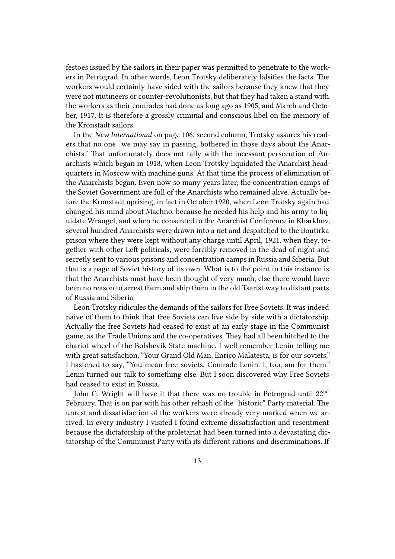festoes issued by the sailors in their paper was permitted to penetrate to the workers in Petrograd. In other words, Leon Trotsky deliberately falsifies the facts. The workers would certainly have sided with the sailors because they knew that they were not mutineers or counter-revolutionists, but that they had taken a stand with the workers as their comrades had done as long ago as 1905, and March and October, 1917. It is therefore a grossly criminal and conscious libel on the memory of the Kronstadt sailors.

In the *New International* on page 106, second column, Trotsky assures his readers that no one "we may say in passing, bothered in those days about the Anarchists." That unfortunately does not tally with the incessant persecution of Anarchists which began in 1918, when Leon Trotsky liquidated the Anarchist headquarters in Moscow with machine guns. At that time the process of elimination of the Anarchists began. Even now so many years later, the concentration camps of the Soviet Government are full of the Anarchists who remained alive. Actually before the Kronstadt uprising, in fact in October 1920, when Leon Trotsky again had changed his mind about Machno, because he needed his help and his army to liquidate Wrangel, and when he consented to the Anarchist Conference in Kharkhov, several hundred Anarchists were drawn into a net and despatched to the Boutirka prison where they were kept without any charge until April, 1921, when they, together with other Left politicals, were forcibly removed in the dead of night and secretly sent to various prisons and concentration camps in Russia and Siberia. But that is a page of Soviet history of its own. What is to the point in this instance is that the Anarchists must have been thought of very much, else there would have been no reason to arrest them and ship them in the old Tsarist way to distant parts of Russia and Siberia.

Leon Trotsky ridicules the demands of the sailors for Free Soviets. It was indeed naive of them to think that free Soviets can live side by side with a dictatorship. Actually the free Soviets had ceased to exist at an early stage in the Communist game, as the Trade Unions and the co-operatives. They had all been hitched to the chariot wheel of the Bolshevik State machine. I well remember Lenin telling me with great satisfaction, "Your Grand Old Man, Enrico Malatesta, is for our soviets." I hastened to say, "You mean free soviets, Comrade Lenin. I, too, am for them." Lenin turned our talk to something else. But I soon discovered why Free Soviets had ceased to exist in Russia.

John G. Wright will have it that there was no trouble in Petrograd until 22<sup>nd</sup> February. That is on par with his other rehash of the "historic" Party material. The unrest and dissatisfaction of the workers were already very marked when we arrived. In every industry I visited I found extreme dissatisfaction and resentment because the dictatorship of the proletariat had been turned into a devastating dictatorship of the Communist Party with its different rations and discriminations. If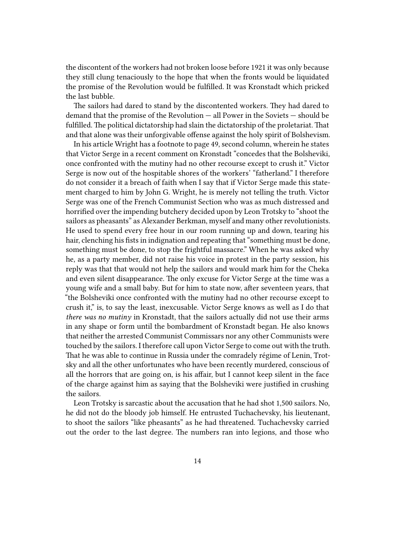the discontent of the workers had not broken loose before 1921 it was only because they still clung tenaciously to the hope that when the fronts would be liquidated the promise of the Revolution would be fulfilled. It was Kronstadt which pricked the last bubble.

The sailors had dared to stand by the discontented workers. They had dared to demand that the promise of the Revolution — all Power in the Soviets — should be fulfilled. The political dictatorship had slain the dictatorship of the proletariat. That and that alone was their unforgivable offense against the holy spirit of Bolshevism.

In his article Wright has a footnote to page 49, second column, wherein he states that Victor Serge in a recent comment on Kronstadt "concedes that the Bolsheviki, once confronted with the mutiny had no other recourse except to crush it." Victor Serge is now out of the hospitable shores of the workers' "fatherland." I therefore do not consider it a breach of faith when I say that if Victor Serge made this statement charged to him by John G. Wright, he is merely not telling the truth. Victor Serge was one of the French Communist Section who was as much distressed and horrified over the impending butchery decided upon by Leon Trotsky to "shoot the sailors as pheasants" as Alexander Berkman, myself and many other revolutionists. He used to spend every free hour in our room running up and down, tearing his hair, clenching his fists in indignation and repeating that "something must be done, something must be done, to stop the frightful massacre." When he was asked why he, as a party member, did not raise his voice in protest in the party session, his reply was that that would not help the sailors and would mark him for the Cheka and even silent disappearance. The only excuse for Victor Serge at the time was a young wife and a small baby. But for him to state now, after seventeen years, that "the Bolsheviki once confronted with the mutiny had no other recourse except to crush it," is, to say the least, inexcusable. Victor Serge knows as well as I do that *there was no mutiny* in Kronstadt, that the sailors actually did not use their arms in any shape or form until the bombardment of Kronstadt began. He also knows that neither the arrested Communist Commissars nor any other Communists were touched by the sailors. I therefore call upon Victor Serge to come out with the truth. That he was able to continue in Russia under the comradely régime of Lenin, Trotsky and all the other unfortunates who have been recently murdered, conscious of all the horrors that are going on, is his affair, but I cannot keep silent in the face of the charge against him as saying that the Bolsheviki were justified in crushing the sailors.

Leon Trotsky is sarcastic about the accusation that he had shot 1,500 sailors. No, he did not do the bloody job himself. He entrusted Tuchachevsky, his lieutenant, to shoot the sailors "like pheasants" as he had threatened. Tuchachevsky carried out the order to the last degree. The numbers ran into legions, and those who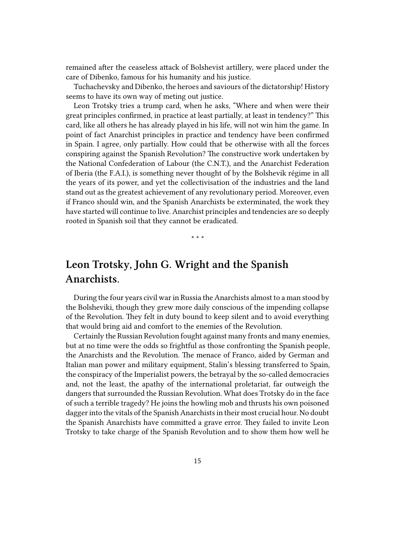remained after the ceaseless attack of Bolshevist artillery, were placed under the care of Dibenko, famous for his humanity and his justice.

Tuchachevsky and Dibenko, the heroes and saviours of the dictatorship! History seems to have its own way of meting out justice.

Leon Trotsky tries a trump card, when he asks, "Where and when were their great principles confirmed, in practice at least partially, at least in tendency?" This card, like all others he has already played in his life, will not win him the game. In point of fact Anarchist principles in practice and tendency have been confirmed in Spain. I agree, only partially. How could that be otherwise with all the forces conspiring against the Spanish Revolution? The constructive work undertaken by the National Confederation of Labour (the C.N.T.), and the Anarchist Federation of Iberia (the F.A.I.), is something never thought of by the Bolshevik régime in all the years of its power, and yet the collectivisation of the industries and the land stand out as the greatest achievement of any revolutionary period. Moreover, even if Franco should win, and the Spanish Anarchists be exterminated, the work they have started will continue to live. Anarchist principles and tendencies are so deeply rooted in Spanish soil that they cannot be eradicated.

\* \* \*

### **Leon Trotsky, John G. Wright and the Spanish Anarchists.**

During the four years civil war in Russia the Anarchists almost to a man stood by the Bolsheviki, though they grew more daily conscious of the impending collapse of the Revolution. They felt in duty bound to keep silent and to avoid everything that would bring aid and comfort to the enemies of the Revolution.

Certainly the Russian Revolution fought against many fronts and many enemies, but at no time were the odds so frightful as those confronting the Spanish people, the Anarchists and the Revolution. The menace of Franco, aided by German and Italian man power and military equipment, Stalin's blessing transferred to Spain, the conspiracy of the Imperialist powers, the betrayal by the so-called democracies and, not the least, the apathy of the international proletariat, far outweigh the dangers that surrounded the Russian Revolution. What does Trotsky do in the face of such a terrible tragedy? He joins the howling mob and thrusts his own poisoned dagger into the vitals of the Spanish Anarchists in their most crucial hour. No doubt the Spanish Anarchists have committed a grave error. They failed to invite Leon Trotsky to take charge of the Spanish Revolution and to show them how well he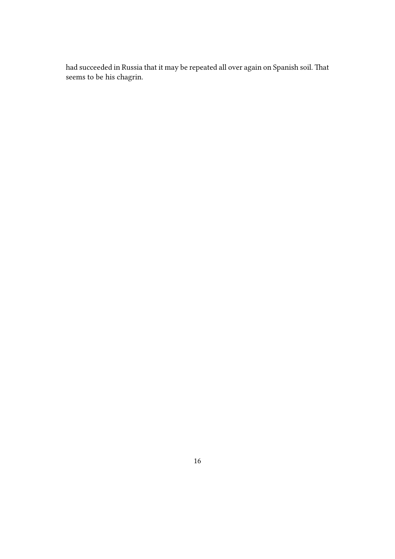had succeeded in Russia that it may be repeated all over again on Spanish soil. That seems to be his chagrin.